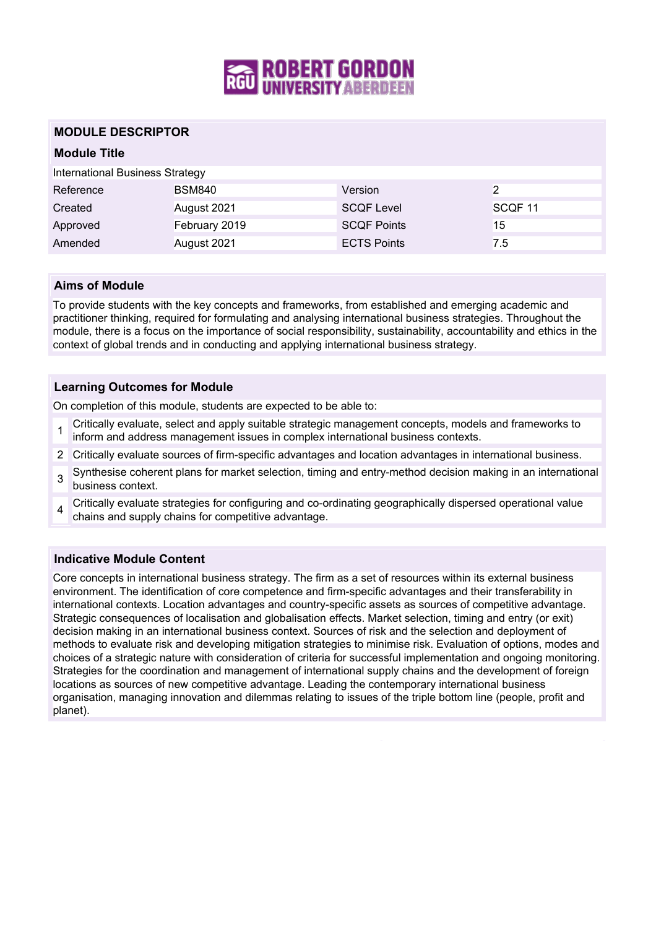

# **MODULE DESCRIPTOR**

## **Module Title**

International Business Strategy

| Reference | <b>BSM840</b> | Version            | 2                  |
|-----------|---------------|--------------------|--------------------|
| Created   | August 2021   | <b>SCOF Level</b>  | SCOF <sub>11</sub> |
| Approved  | February 2019 | <b>SCOF Points</b> | 15                 |
| Amended   | August 2021   | <b>ECTS Points</b> | 7.5                |

#### **Aims of Module**

To provide students with the key concepts and frameworks, from established and emerging academic and practitioner thinking, required for formulating and analysing international business strategies. Throughout the module, there is a focus on the importance of social responsibility, sustainability, accountability and ethics in the context of global trends and in conducting and applying international business strategy.

## **Learning Outcomes for Module**

On completion of this module, students are expected to be able to:

- 1 Critically evaluate, select and apply suitable strategic management concepts, models and frameworks to inform and address management issues in complex international business contexts.
- 2 Critically evaluate sources of firm-specific advantages and location advantages in international business.
- 3 Synthesise coherent plans for market selection, timing and entry-method decision making in an international business context.
- 4 Critically evaluate strategies for configuring and co-ordinating geographically dispersed operational value chains and supply chains for competitive advantage.

# **Indicative Module Content**

Core concepts in international business strategy. The firm as a set of resources within its external business environment. The identification of core competence and firm-specific advantages and their transferability in international contexts. Location advantages and country-specific assets as sources of competitive advantage. Strategic consequences of localisation and globalisation effects. Market selection, timing and entry (or exit) decision making in an international business context. Sources of risk and the selection and deployment of methods to evaluate risk and developing mitigation strategies to minimise risk. Evaluation of options, modes and choices of a strategic nature with consideration of criteria for successful implementation and ongoing monitoring. Strategies for the coordination and management of international supply chains and the development of foreign locations as sources of new competitive advantage. Leading the contemporary international business organisation, managing innovation and dilemmas relating to issues of the triple bottom line (people, profit and planet).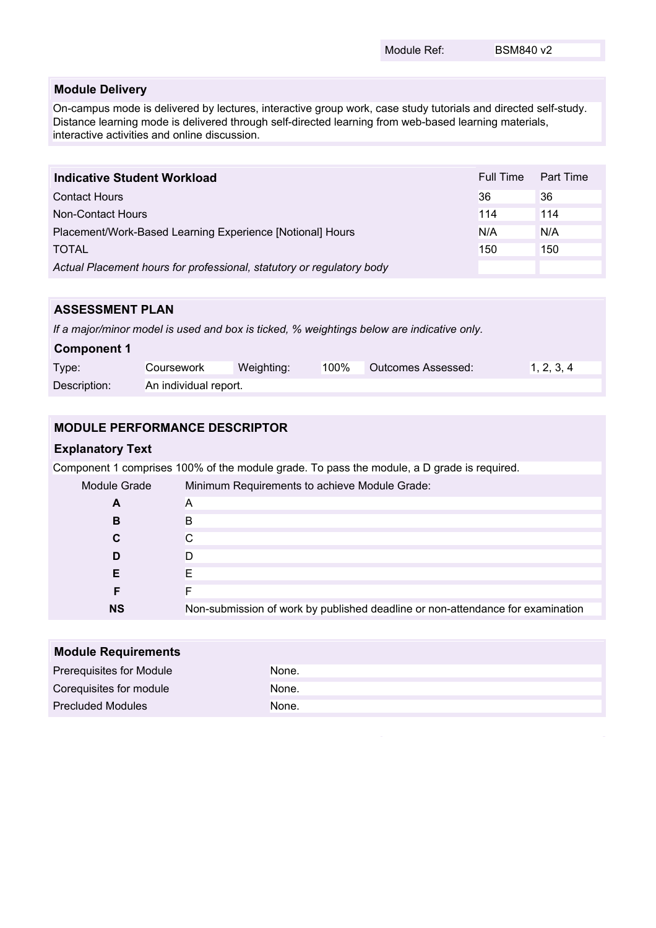#### **Module Delivery**

On-campus mode is delivered by lectures, interactive group work, case study tutorials and directed self-study. Distance learning mode is delivered through self-directed learning from web-based learning materials, interactive activities and online discussion.

| Indicative Student Workload                                           | Full Time | Part Time |
|-----------------------------------------------------------------------|-----------|-----------|
| <b>Contact Hours</b>                                                  | 36        | 36        |
| Non-Contact Hours                                                     | 114       | 114       |
| Placement/Work-Based Learning Experience [Notional] Hours             | N/A       | N/A       |
| <b>TOTAL</b>                                                          | 150       | 150       |
| Actual Placement hours for professional, statutory or regulatory body |           |           |

# **ASSESSMENT PLAN**

*If a major/minor model is used and box is ticked, % weightings below are indicative only.*

| <b>Component 1</b> |                       |            |      |                    |            |
|--------------------|-----------------------|------------|------|--------------------|------------|
| Type:              | Coursework            | Weighting: | 100% | Outcomes Assessed: | 1, 2, 3, 4 |
| Description:       | An individual report. |            |      |                    |            |

# **MODULE PERFORMANCE DESCRIPTOR**

#### **Explanatory Text**

Component 1 comprises 100% of the module grade. To pass the module, a D grade is required.

| Module Grade | Minimum Requirements to achieve Module Grade:                                  |
|--------------|--------------------------------------------------------------------------------|
| A            | A                                                                              |
| В            | B                                                                              |
| C            | С                                                                              |
| D            | D                                                                              |
|              |                                                                                |
|              |                                                                                |
| <b>NS</b>    | Non-submission of work by published deadline or non-attendance for examination |

| <b>Module Requirements</b> |       |  |  |
|----------------------------|-------|--|--|
| Prerequisites for Module   | None. |  |  |
| Corequisites for module    | None. |  |  |
| <b>Precluded Modules</b>   | None. |  |  |